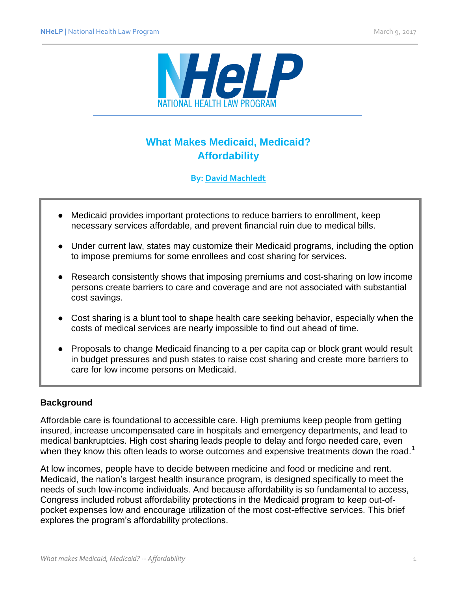

# **What Makes Medicaid, Medicaid? Affordability**

## **By: [David Machledt](http://www.healthlaw.org/about/staff/david-machledt)**

- Medicaid provides important protections to reduce barriers to enrollment, keep necessary services affordable, and prevent financial ruin due to medical bills.
- Under current law, states may customize their Medicaid programs, including the option to impose premiums for some enrollees and cost sharing for services.
- Research consistently shows that imposing premiums and cost-sharing on low income persons create barriers to care and coverage and are not associated with substantial cost savings.
- Cost sharing is a blunt tool to shape health care seeking behavior, especially when the costs of medical services are nearly impossible to find out ahead of time.
- Proposals to change Medicaid financing to a per capita cap or block grant would result in budget pressures and push states to raise cost sharing and create more barriers to care for low income persons on Medicaid.

### **Background**

Affordable care is foundational to accessible care. High premiums keep people from getting insured, increase uncompensated care in hospitals and emergency departments, and lead to medical bankruptcies. High cost sharing leads people to delay and forgo needed care, even when they know this often leads to worse outcomes and expensive treatments down the road.<sup>1</sup>

At low incomes, people have to decide between medicine and food or medicine and rent. Medicaid, the nation's largest health insurance program, is designed specifically to meet the needs of such low-income individuals. And because affordability is so fundamental to access, Congress included robust affordability protections in the Medicaid program to keep out-ofpocket expenses low and encourage utilization of the most cost-effective services. This brief explores the program's affordability protections.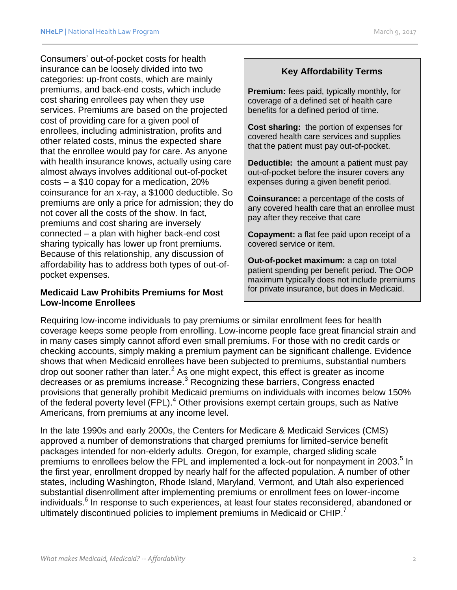Consumers' out-of-pocket costs for health insurance can be loosely divided into two categories: up-front costs, which are mainly premiums, and back-end costs, which include cost sharing enrollees pay when they use services. Premiums are based on the projected cost of providing care for a given pool of enrollees, including administration, profits and other related costs, minus the expected share that the enrollee would pay for care. As anyone with health insurance knows, actually using care almost always involves additional out-of-pocket costs – a \$10 copay for a medication, 20% coinsurance for an x-ray, a \$1000 deductible. So premiums are only a price for admission; they do not cover all the costs of the show. In fact, premiums and cost sharing are inversely connected – a plan with higher back-end cost sharing typically has lower up front premiums. Because of this relationship, any discussion of affordability has to address both types of out-ofpocket expenses.

#### **Medicaid Law Prohibits Premiums for Most Low-Income Enrollees**

# **Key Affordability Terms**

**Premium:** fees paid, typically monthly, for coverage of a defined set of health care benefits for a defined period of time.

**Cost sharing:** the portion of expenses for covered health care services and supplies that the patient must pay out-of-pocket.

**Deductible:** the amount a patient must pay out-of-pocket before the insurer covers any expenses during a given benefit period.

**Coinsurance:** a percentage of the costs of any covered health care that an enrollee must pay after they receive that care

**Copayment:** a flat fee paid upon receipt of a covered service or item.

**Out-of-pocket maximum:** a cap on total patient spending per benefit period. The OOP maximum typically does not include premiums for private insurance, but does in Medicaid.

Requiring low-income individuals to pay premiums or similar enrollment fees for health coverage keeps some people from enrolling. Low-income people face great financial strain and in many cases simply cannot afford even small premiums. For those with no credit cards or checking accounts, simply making a premium payment can be significant challenge. Evidence shows that when Medicaid enrollees have been subjected to premiums, substantial numbers drop out sooner rather than later.<sup>2</sup> As one might expect, this effect is greater as income decreases or as premiums increase.<sup>3</sup> Recognizing these barriers, Congress enacted provisions that generally prohibit Medicaid premiums on individuals with incomes below 150% of the federal poverty level (FPL).<sup>4</sup> Other provisions exempt certain groups, such as Native Americans, from premiums at any income level.

In the late 1990s and early 2000s, the Centers for Medicare & Medicaid Services (CMS) approved a number of demonstrations that charged premiums for limited-service benefit packages intended for non-elderly adults. Oregon, for example, charged sliding scale premiums to enrollees below the FPL and implemented a lock-out for nonpayment in 2003.<sup>5</sup> In the first year, enrollment dropped by nearly half for the affected population. A number of other states, including Washington, Rhode Island, Maryland, Vermont, and Utah also experienced substantial disenrollment after implementing premiums or enrollment fees on lower-income individuals.<sup>6</sup> In response to such experiences, at least four states reconsidered, abandoned or ultimately discontinued policies to implement premiums in Medicaid or CHIP.<sup>7</sup>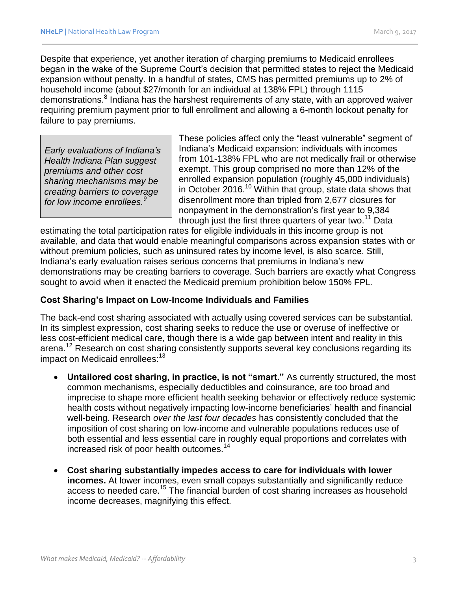Despite that experience, yet another iteration of charging premiums to Medicaid enrollees began in the wake of the Supreme Court's decision that permitted states to reject the Medicaid expansion without penalty. In a handful of states, CMS has permitted premiums up to 2% of household income (about \$27/month for an individual at 138% FPL) through 1115 demonstrations.<sup>8</sup> Indiana has the harshest requirements of any state, with an approved waiver requiring premium payment prior to full enrollment and allowing a 6-month lockout penalty for failure to pay premiums.

*Early evaluations of Indiana's Health Indiana Plan suggest premiums and other cost sharing mechanisms may be creating barriers to coverage for low income enrollees.<sup>9</sup>*

These policies affect only the "least vulnerable" segment of Indiana's Medicaid expansion: individuals with incomes from 101-138% FPL who are not medically frail or otherwise exempt. This group comprised no more than 12% of the enrolled expansion population (roughly 45,000 individuals) in October 2016.<sup>10</sup> Within that group, state data shows that disenrollment more than tripled from 2,677 closures for nonpayment in the demonstration's first year to 9,384 through just the first three quarters of year two.<sup>11</sup> Data

estimating the total participation rates for eligible individuals in this income group is not available, and data that would enable meaningful comparisons across expansion states with or without premium policies, such as uninsured rates by income level, is also scarce. Still, Indiana's early evaluation raises serious concerns that premiums in Indiana's new demonstrations may be creating barriers to coverage. Such barriers are exactly what Congress sought to avoid when it enacted the Medicaid premium prohibition below 150% FPL.

### **Cost Sharing's Impact on Low-Income Individuals and Families**

The back-end cost sharing associated with actually using covered services can be substantial. In its simplest expression, cost sharing seeks to reduce the use or overuse of ineffective or less cost-efficient medical care, though there is a wide gap between intent and reality in this arena.<sup>12</sup> Research on cost sharing consistently supports several key conclusions regarding its impact on Medicaid enrollees:<sup>13</sup>

- **Untailored cost sharing, in practice, is not "smart."** As currently structured, the most common mechanisms, especially deductibles and coinsurance, are too broad and imprecise to shape more efficient health seeking behavior or effectively reduce systemic health costs without negatively impacting low-income beneficiaries' health and financial well-being. Research *over the last four decades* has consistently concluded that the imposition of cost sharing on low-income and vulnerable populations reduces use of both essential and less essential care in roughly equal proportions and correlates with increased risk of poor health outcomes.<sup>14</sup>
- **Cost sharing substantially impedes access to care for individuals with lower incomes.** At lower incomes, even small copays substantially and significantly reduce access to needed care.<sup>15</sup> The financial burden of cost sharing increases as household income decreases, magnifying this effect.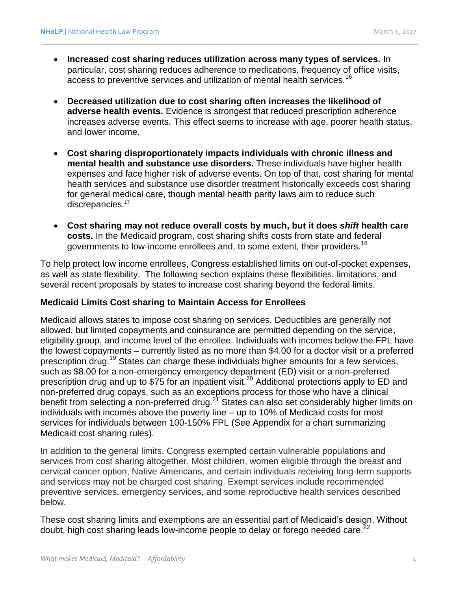- **Increased cost sharing reduces utilization across many types of services.** In particular, cost sharing reduces adherence to medications, frequency of office visits, access to preventive services and utilization of mental health services.<sup>16</sup>
- **Decreased utilization due to cost sharing often increases the likelihood of adverse health events.** Evidence is strongest that reduced prescription adherence increases adverse events. This effect seems to increase with age, poorer health status, and lower income.
- **Cost sharing disproportionately impacts individuals with chronic illness and mental health and substance use disorders.** These individuals have higher health expenses and face higher risk of adverse events. On top of that, cost sharing for mental health services and substance use disorder treatment historically exceeds cost sharing for general medical care, though mental health parity laws aim to reduce such discrepancies.<sup>17</sup>
- **Cost sharing may not reduce overall costs by much, but it does** *shift* **health care costs.** In the Medicaid program, cost sharing shifts costs from state and federal governments to low-income enrollees and, to some extent, their providers.<sup>18</sup>

To help protect low income enrollees, Congress established limits on out-of-pocket expenses, as well as state flexibility. The following section explains these flexibilities, limitations, and several recent proposals by states to increase cost sharing beyond the federal limits.

#### **Medicaid Limits Cost sharing to Maintain Access for Enrollees**

Medicaid allows states to impose cost sharing on services. Deductibles are generally not allowed, but limited copayments and coinsurance are permitted depending on the service, eligibility group, and income level of the enrollee. Individuals with incomes below the FPL have the lowest copayments – currently listed as no more than \$4.00 for a doctor visit or a preferred prescription drug.<sup>19</sup> States can charge these individuals higher amounts for a few services, such as \$8.00 for a non-emergency emergency department (ED) visit or a non-preferred prescription drug and up to \$75 for an inpatient visit.<sup>20</sup> Additional protections apply to ED and non-preferred drug copays, such as an exceptions process for those who have a clinical benefit from selecting a non-preferred drug.<sup>21</sup> States can also set considerably higher limits on individuals with incomes above the poverty line – up to 10% of Medicaid costs for most services for individuals between 100-150% FPL (See Appendix for a chart summarizing Medicaid cost sharing rules).

In addition to the general limits, Congress exempted certain vulnerable populations and services from cost sharing altogether. Most children, women eligible through the breast and cervical cancer option, Native Americans, and certain individuals receiving long-term supports and services may not be charged cost sharing. Exempt services include recommended preventive services, emergency services, and some reproductive health services described below.

These cost sharing limits and exemptions are an essential part of Medicaid's design. Without doubt, high cost sharing leads low-income people to delay or forego needed care.<sup>22</sup>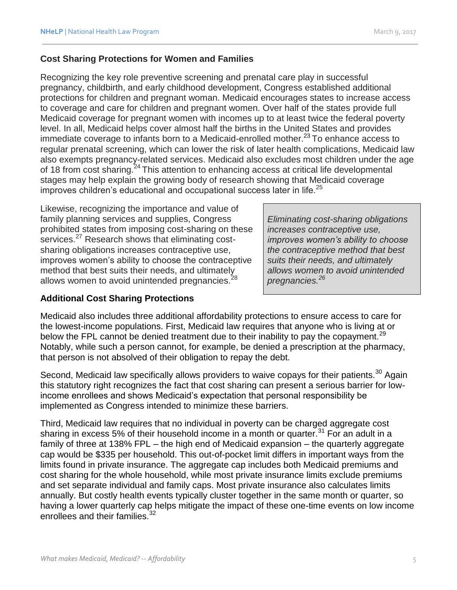### **Cost Sharing Protections for Women and Families**

Recognizing the key role preventive screening and prenatal care play in successful pregnancy, childbirth, and early childhood development, Congress established additional protections for children and pregnant woman. Medicaid encourages states to increase access to coverage and care for children and pregnant women. Over half of the states provide full Medicaid coverage for pregnant women with incomes up to at least twice the federal poverty level. In all, Medicaid helps cover almost half the births in the United States and provides immediate coverage to infants born to a Medicaid-enrolled mother.<sup>23</sup> To enhance access to regular prenatal screening, which can lower the risk of later health complications, Medicaid law also exempts pregnancy-related services. Medicaid also excludes most children under the age of 18 from cost sharing.<sup>24</sup> This attention to enhancing access at critical life developmental stages may help explain the growing body of research showing that Medicaid coverage improves children's educational and occupational success later in life.<sup>25</sup>

Likewise, recognizing the importance and value of family planning services and supplies, Congress prohibited states from imposing cost-sharing on these services.<sup>27</sup> Research shows that eliminating costsharing obligations increases contraceptive use, improves women's ability to choose the contraceptive method that best suits their needs, and ultimately allows women to avoid unintended pregnancies. $^{28}$ 

*Eliminating cost-sharing obligations increases contraceptive use, improves women's ability to choose the contraceptive method that best suits their needs, and ultimately allows women to avoid unintended pregnancies.<sup>26</sup>*

### **Additional Cost Sharing Protections**

Medicaid also includes three additional affordability protections to ensure access to care for the lowest-income populations. First, Medicaid law requires that anyone who is living at or below the FPL cannot be denied treatment due to their inability to pay the copayment.<sup>29</sup> Notably, while such a person cannot, for example, be denied a prescription at the pharmacy, that person is not absolved of their obligation to repay the debt.

Second, Medicaid law specifically allows providers to waive copays for their patients.<sup>30</sup> Again this statutory right recognizes the fact that cost sharing can present a serious barrier for lowincome enrollees and shows Medicaid's expectation that personal responsibility be implemented as Congress intended to minimize these barriers.

Third, Medicaid law requires that no individual in poverty can be charged aggregate cost sharing in excess 5% of their household income in a month or quarter.<sup>31</sup> For an adult in a family of three at 138% FPL – the high end of Medicaid expansion – the quarterly aggregate cap would be \$335 per household. This out-of-pocket limit differs in important ways from the limits found in private insurance. The aggregate cap includes both Medicaid premiums and cost sharing for the whole household, while most private insurance limits exclude premiums and set separate individual and family caps. Most private insurance also calculates limits annually. But costly health events typically cluster together in the same month or quarter, so having a lower quarterly cap helps mitigate the impact of these one-time events on low income enrollees and their families.<sup>32</sup>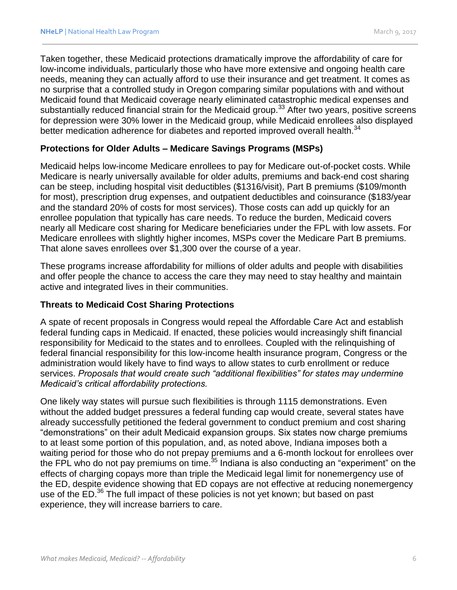Taken together, these Medicaid protections dramatically improve the affordability of care for low-income individuals, particularly those who have more extensive and ongoing health care needs, meaning they can actually afford to use their insurance and get treatment. It comes as no surprise that a controlled study in Oregon comparing similar populations with and without Medicaid found that Medicaid coverage nearly eliminated catastrophic medical expenses and substantially reduced financial strain for the Medicaid group.<sup>33</sup> After two years, positive screens for depression were 30% lower in the Medicaid group, while Medicaid enrollees also displayed better medication adherence for diabetes and reported improved overall health.<sup>34</sup>

### **Protections for Older Adults – Medicare Savings Programs (MSPs)**

Medicaid helps low-income Medicare enrollees to pay for Medicare out-of-pocket costs. While Medicare is nearly universally available for older adults, premiums and back-end cost sharing can be steep, including hospital visit deductibles (\$1316/visit), Part B premiums (\$109/month for most), prescription drug expenses, and outpatient deductibles and coinsurance (\$183/year and the standard 20% of costs for most services). Those costs can add up quickly for an enrollee population that typically has care needs. To reduce the burden, Medicaid covers nearly all Medicare cost sharing for Medicare beneficiaries under the FPL with low assets. For Medicare enrollees with slightly higher incomes, MSPs cover the Medicare Part B premiums. That alone saves enrollees over \$1,300 over the course of a year.

These programs increase affordability for millions of older adults and people with disabilities and offer people the chance to access the care they may need to stay healthy and maintain active and integrated lives in their communities.

### **Threats to Medicaid Cost Sharing Protections**

A spate of recent proposals in Congress would repeal the Affordable Care Act and establish federal funding caps in Medicaid. If enacted, these policies would increasingly shift financial responsibility for Medicaid to the states and to enrollees. Coupled with the relinquishing of federal financial responsibility for this low-income health insurance program, Congress or the administration would likely have to find ways to allow states to curb enrollment or reduce services. *Proposals that would create such "additional flexibilities" for states may undermine Medicaid's critical affordability protections.*

One likely way states will pursue such flexibilities is through 1115 demonstrations. Even without the added budget pressures a federal funding cap would create, several states have already successfully petitioned the federal government to conduct premium and cost sharing "demonstrations" on their adult Medicaid expansion groups. Six states now charge premiums to at least some portion of this population, and, as noted above, Indiana imposes both a waiting period for those who do not prepay premiums and a 6-month lockout for enrollees over the FPL who do not pay premiums on time.<sup>35</sup> Indiana is also conducting an "experiment" on the effects of charging copays more than triple the Medicaid legal limit for nonemergency use of the ED, despite evidence showing that ED copays are not effective at reducing nonemergency use of the ED.<sup>36</sup> The full impact of these policies is not yet known; but based on past experience, they will increase barriers to care.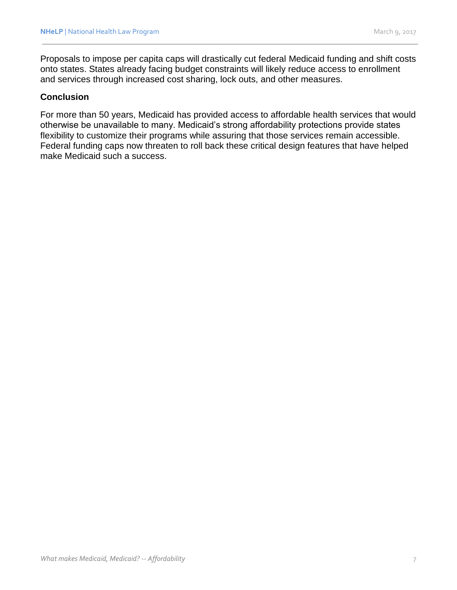Proposals to impose per capita caps will drastically cut federal Medicaid funding and shift costs onto states. States already facing budget constraints will likely reduce access to enrollment and services through increased cost sharing, lock outs, and other measures.

#### **Conclusion**

For more than 50 years, Medicaid has provided access to affordable health services that would otherwise be unavailable to many. Medicaid's strong affordability protections provide states flexibility to customize their programs while assuring that those services remain accessible. Federal funding caps now threaten to roll back these critical design features that have helped make Medicaid such a success.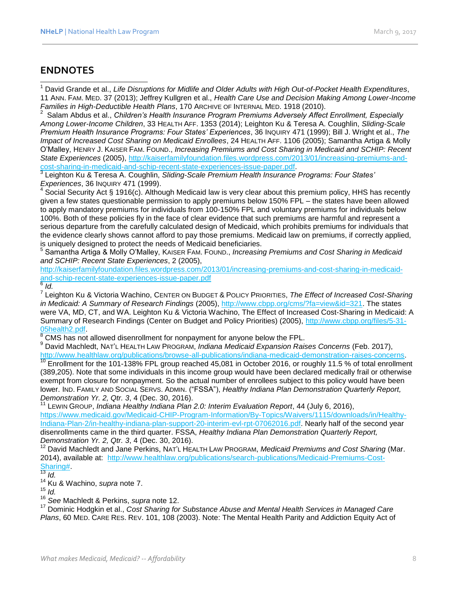# **ENDNOTES**

l <sup>1</sup> David Grande et al., *Life Disruptions for Midlife and Older Adults with High Out-of-Pocket Health Expenditures*, 11 ANN. FAM. MED. 37 (2013); Jeffrey Kullgren et al., *Health Care Use and Decision Making Among Lower-Income Families in High-Deductible Health Plans*, 170 ARCHIVE OF INTERNAL MED. 1918 (2010).

2 Salam Abdus et al., *Children's Health Insurance Program Premiums Adversely Affect Enrollment, Especially Among Lower-Income Children*, 33 HEALTH AFF. 1353 (2014); Leighton Ku & Teresa A. Coughlin, *Sliding-Scale Premium Health Insurance Programs: Four States' Experiences*, 36 INQUIRY 471 (1999); Bill J. Wright et al., *The Impact of Increased Cost Sharing on Medicaid Enrollees*, 24 HEALTH AFF. 1106 (2005); Samantha Artiga & Molly O'Malley, HENRY J. KAISER FAM. FOUND., *Increasing Premiums and Cost Sharing in Medicaid and SCHIP: Recent State Experiences* (2005), [http://kaiserfamilyfoundation.files.wordpress.com/2013/01/increasing-premiums-and](http://kaiserfamilyfoundation.files.wordpress.com/2013/01/increasing-premiums-and-cost-sharing-in-medicaid-and-schip-recent-state-experiences-issue-paper.pdf)[cost-sharing-in-medicaid-and-schip-recent-state-experiences-issue-paper.pdf.](http://kaiserfamilyfoundation.files.wordpress.com/2013/01/increasing-premiums-and-cost-sharing-in-medicaid-and-schip-recent-state-experiences-issue-paper.pdf)

3 Leighton Ku & Teresa A. Coughlin, *Sliding-Scale Premium Health Insurance Programs: Four States' Experiences*, 36 INQUIRY 471 (1999).

 $4$  Social Security Act § 1916(c). Although Medicaid law is very clear about this premium policy, HHS has recently given a few states questionable permission to apply premiums below 150% FPL – the states have been allowed to apply mandatory premiums for individuals from 100-150% FPL and voluntary premiums for individuals below 100%. Both of these policies fly in the face of clear evidence that such premiums are harmful and represent a serious departure from the carefully calculated design of Medicaid, which prohibits premiums for individuals that the evidence clearly shows cannot afford to pay those premiums. Medicaid law on premiums, if correctly applied, is uniquely designed to protect the needs of Medicaid beneficiaries.

5 Samantha Artiga & Molly O'Malley, KAISER FAM. FOUND., *Increasing Premiums and Cost Sharing in Medicaid and SCHIP: Recent State Experiences*, 2 (2005),

[http://kaiserfamilyfoundation.files.wordpress.com/2013/01/increasing-premiums-and-cost-sharing-in-medicaid](http://kaiserfamilyfoundation.files.wordpress.com/2013/01/increasing-premiums-and-cost-sharing-in-medicaid-and-schip-recent-state-experiences-issue-paper.pdf)[and-schip-recent-state-experiences-issue-paper.pdf](http://kaiserfamilyfoundation.files.wordpress.com/2013/01/increasing-premiums-and-cost-sharing-in-medicaid-and-schip-recent-state-experiences-issue-paper.pdf)

6 *Id.* 7 Leighton Ku & Victoria Wachino, CENTER ON BUDGET & POLICY PRIORITIES, *The Effect of Increased Cost-Sharing in Medicaid: A Summary of Research Findings* (2005), [http://www.cbpp.org/cms/?fa=view&id=321.](http://www.cbpp.org/cms/?fa=view&id=321) The states were VA, MD, CT, and WA. Leighton Ku & Victoria Wachino, The Effect of Increased Cost-Sharing in Medicaid: A Summary of Research Findings (Center on Budget and Policy Priorities) (2005), [http://www.cbpp.org/files/5-31-](http://www.cbpp.org/files/5-31-05health2.pdf) [05health2.pdf.](http://www.cbpp.org/files/5-31-05health2.pdf)

 $8$  CMS has not allowed disenrollment for nonpayment for anyone below the FPL.

<sup>9</sup> David Machledt, NAT'L HEALTH LAW PROGRAM, *Indiana Medicaid Expansion Raises Concerns* (Feb. 2017), [http://www.healthlaw.org/publications/browse-all-publications/indiana-medicaid-demonstration-raises-concerns.](http://www.healthlaw.org/publications/browse-all-publications/indiana-medicaid-demonstration-raises-concerns)

 $10$  Enrollment for the 101-138% FPL group reached 45,081 in October 2016, or roughly 11.5 % of total enrollment (389,205). Note that some individuals in this income group would have been declared medically frail or otherwise exempt from closure for nonpayment. So the actual number of enrollees subject to this policy would have been lower. IND. FAMILY AND SOCIAL SERVS. ADMIN. ("FSSA"), *Healthy Indiana Plan Demonstration Quarterly Report, Demonstration Yr. 2, Qtr. 3*, 4 (Dec. 30, 2016).

<sup>11</sup> LEWIN GROUP, *Indiana Healthy Indiana Plan 2.0: Interim Evaluation Report*, 44 (July 6, 2016), [https://www.medicaid.gov/Medicaid-CHIP-Program-Information/By-Topics/Waivers/1115/downloads/in/Healthy-](https://www.medicaid.gov/Medicaid-CHIP-Program-Information/By-Topics/Waivers/1115/downloads/in/Healthy-Indiana-Plan-2/in-healthy-indiana-plan-support-20-interim-evl-rpt-07062016.pdf)[Indiana-Plan-2/in-healthy-indiana-plan-support-20-interim-evl-rpt-07062016.pdf.](https://www.medicaid.gov/Medicaid-CHIP-Program-Information/By-Topics/Waivers/1115/downloads/in/Healthy-Indiana-Plan-2/in-healthy-indiana-plan-support-20-interim-evl-rpt-07062016.pdf) Nearly half of the second year disenrollments came in the third quarter. FSSA, *Healthy Indiana Plan Demonstration Quarterly Report, Demonstration Yr. 2, Qtr. 3*, 4 (Dec. 30, 2016).

<sup>12</sup> David Machledt and Jane Perkins, NAT'L HEALTH LAW PROGRAM, *Medicaid Premiums and Cost Sharing* (Mar. 2014), available at: [http://www.healthlaw.org/publications/search-publications/Medicaid-Premiums-Cost-](http://www.healthlaw.org/publications/search-publications/Medicaid-Premiums-Cost-Sharing)[Sharing#.](http://www.healthlaw.org/publications/search-publications/Medicaid-Premiums-Cost-Sharing)

<sup>14</sup> Ku & Wachino, *supra* note 7.

<sup>15</sup> *Id.*

<sup>16</sup> *See* Machledt & Perkins, *supra* note 12.

<sup>17</sup> Dominic Hodgkin et al., *Cost Sharing for Substance Abuse and Mental Health Services in Managed Care Plans*, 60 MED. CARE RES. REV. 101, 108 (2003). Note: The Mental Health Parity and Addiction Equity Act of

 $rac{3}{13}$  *Id.*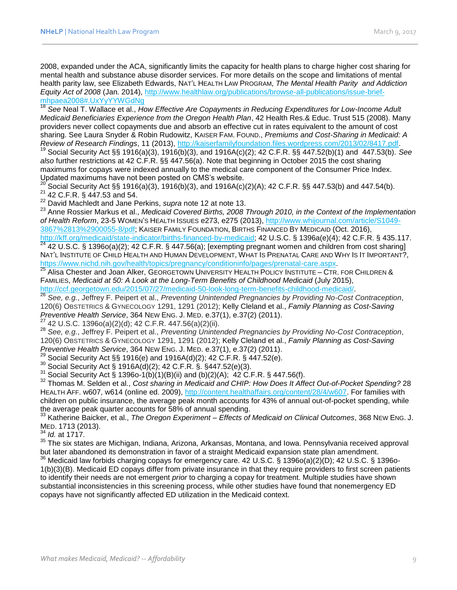2008, expanded under the ACA, significantly limits the capacity for health plans to charge higher cost sharing for mental health and substance abuse disorder services. For more details on the scope and limitations of mental health parity law, see Elizabeth Edwards, NAT'L HEALTH LAW PROGRAM, *The Mental Health Parity and Addiction Equity Act of 2008* (Jan. 2014), [http://www.healthlaw.org/publications/browse-all-publications/issue-brief](http://www.healthlaw.org/publications/browse-all-publications/issue-brief-mhpaea2008#.UxYyYYWGdNg)[mhpaea2008#.UxYyYYWGdNg](http://www.healthlaw.org/publications/browse-all-publications/issue-brief-mhpaea2008#.UxYyYYWGdNg)

<sup>18</sup> *See* Neal T. Wallace et al., *How Effective Are Copayments in Reducing Expenditures for Low-Income Adult Medicaid Beneficiaries Experience from the Oregon Health Plan*, 42 Health Res.& Educ. Trust 515 (2008). Many providers never collect copayments due and absorb an effective cut in rates equivalent to the amount of cost sharing. See Laura Snyder & Robin Rudowitz, KAISER FAM. FOUND., *Premiums and Cost-Sharing in Medicaid: A Review of Research Findings*, 11 (2013), [http://kaiserfamilyfoundation.files.wordpress.com/2013/02/8417.pdf.](http://kaiserfamilyfoundation.files.wordpress.com/2013/02/8417.pdf)

<sup>19</sup> Social Security Act §§ 1916(a)(3), 1916(b)(3), and 1916A(c)(2); 42 C.F.R. §§ 447.52(b)(1) and 447.53(b). *See also* further restrictions at 42 C.F.R. §§ 447.56(a). Note that beginning in October 2015 the cost sharing maximums for copays were indexed annually to the medical care component of the Consumer Price Index. Updated maximums have not been posted on CMS's website.

<sup>20</sup> Social Security Act §§ 1916(a)(3), 1916(b)(3), and 1916A(c)(2)(A); 42 C.F.R. §§ 447.53(b) and 447.54(b). <sup>21</sup> 42 C.F.R. § 447.53 and 54.

<sup>22</sup> David Machledt and Jane Perkins, *supra* note 12 at note 13.

<sup>23</sup> Anne Rossier Markus et al., *Medicaid Covered Births, 2008 Through 2010, in the Context of the Implementation of Health Reform*, 23-5 WOMEN'S HEALTH ISSUES e273, e275 (2013), [http://www.whijournal.com/article/S1049-](http://www.whijournal.com/article/S1049-3867%2813%2900055-8/pdf) [3867%2813%2900055-8/pdf;](http://www.whijournal.com/article/S1049-3867%2813%2900055-8/pdf) KAISER FAMILY FOUNDATION, BIRTHS FINANCED BY MEDICAID (Oct. 2016), [http://kff.org/medicaid/state-indicator/births-financed-by-medicaid;](http://kff.org/medicaid/state-indicator/births-financed-by-medicaid) 42 U.S.C. § 1396a(e)(4); 42 C.F.R. § 435.117.

 $24$  42 U.S.C. § 1396o(a)(2); 42 C.F.R. § 447.56(a); [exempting pregnant women and children from cost sharing] NAT'L INSTITUTE OF CHILD HEALTH AND HUMAN DEVELOPMENT, WHAT IS PRENATAL CARE AND WHY IS IT IMPORTANT?, [https://www.nichd.nih.gov/health/topics/pregnancy/conditioninfo/pages/prenatal-care.aspx.](https://www.nichd.nih.gov/health/topics/pregnancy/conditioninfo/pages/prenatal-care.aspx)

25 Alisa Chester and Joan Alker, GEORGETOWN UNIVERSITY HEALTH POLICY INSTITUTE – CTR. FOR CHILDREN & FAMILIES, *Medicaid at 50: A Look at the Long-Term Benefits of Childhood Medicaid* (July 2015), [http://ccf.georgetown.edu/2015/07/27/medicaid-50-look-long-term-benefits-childhood-medicaid/.](http://ccf.georgetown.edu/2015/07/27/medicaid-50-look-long-term-benefits-childhood-medicaid/)

<sup>26</sup> *See, e.g.*, Jeffrey F. Peipert et al., *Preventing Unintended Pregnancies by Providing No-Cost Contraception*, 120(6) OBSTETRICS & GYNECOLOGY 1291, 1291 (2012); Kelly Cleland et al., *Family Planning as Cost-Saving Preventive Health Service*, 364 NEW ENG. J. MED. e.37(1), e.37(2) (2011).

<sup>27</sup> 42 U.S.C. 1396o(a)(2)(d); 42 C.F.R. 447.56(a)(2)(ii).

<sup>28</sup> *See, e.g.*, Jeffrey F. Peipert et al., *Preventing Unintended Pregnancies by Providing No-Cost Contraception*, 120(6) OBSTETRICS & GYNECOLOGY 1291, 1291 (2012); Kelly Cleland et al., *Family Planning as Cost-Saving Preventive Health Service*, 364 NEW ENG. J. MED. e.37(1), e.37(2) (2011).

<sup>29</sup> Social Security Act §§ 1916(e) and 1916A(d)(2); 42 C.F.R. § 447.52(e).

<sup>30</sup> Social Security Act § 1916A(d)(2); 42 C.F.R. §. §447.52(e)(3).

<sup>31</sup> Social Security Act § 1396o-1(b)(1)(B)(ii) and (b)(2)(A); 42 C.F.R. § 447.56(f).

<sup>32</sup> Thomas M. Selden et al., *Cost sharing in Medicaid and CHIP: How Does It Affect Out-of-Pocket Spending?* 28 HEALTH AFF. w607, w614 (online ed. 2009), [http://content.healthaffairs.org/content/28/4/w607.](http://content.healthaffairs.org/content/28/4/w607) For families with children on public insurance, the average peak month accounts for 43% of annual out-of-pocket spending, while the average peak quarter accounts for 58% of annual spending.

<sup>33</sup> Katherine Baicker, et al., *The Oregon Experiment – Effects of Medicaid on Clinical Outcomes*, 368 NEW ENG. J. MED. 1713 (2013).

<sup>34</sup> *Id.* at 1717.

<sup>35</sup> The six states are Michigan, Indiana, Arizona, Arkansas, Montana, and Iowa. Pennsylvania received approval but later abandoned its demonstration in favor of a straight Medicaid expansion state plan amendment.

<sup>36</sup> Medicaid law forbids charging copays for emergency care. 42 U.S.C. § 1396o(a)(2)(D); 42 U.S.C. § 1396o-1(b)(3)(B). Medicaid ED copays differ from private insurance in that they require providers to first screen patients to identify their needs are not emergent *prior* to charging a copay for treatment. Multiple studies have shown substantial inconsistencies in this screening process, while other studies have found that nonemergency ED copays have not significantly affected ED utilization in the Medicaid context.